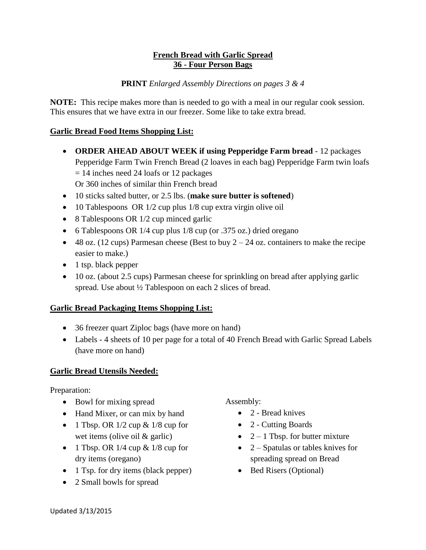## **French Bread with Garlic Spread 36 - Four Person Bags**

## **PRINT** *Enlarged Assembly Directions on pages 3 & 4*

**NOTE:** This recipe makes more than is needed to go with a meal in our regular cook session. This ensures that we have extra in our freezer. Some like to take extra bread.

### **Garlic Bread Food Items Shopping List:**

- **ORDER AHEAD ABOUT WEEK if using Pepperidge Farm bread** 12 packages Pepperidge Farm Twin French Bread (2 loaves in each bag) Pepperidge Farm twin loafs  $= 14$  inches need 24 loafs or 12 packages Or 360 inches of similar thin French bread
- 10 sticks salted butter, or 2.5 lbs. (**make sure butter is softened**)
- 10 Tablespoons OR 1/2 cup plus 1/8 cup extra virgin olive oil
- 8 Tablespoons OR 1/2 cup minced garlic
- 6 Tablespoons OR 1/4 cup plus 1/8 cup (or .375 oz.) dried oregano
- $\bullet$  48 oz. (12 cups) Parmesan cheese (Best to buy 2 24 oz. containers to make the recipe easier to make.)
- 1 tsp. black pepper
- 10 oz. (about 2.5 cups) Parmesan cheese for sprinkling on bread after applying garlic spread. Use about ½ Tablespoon on each 2 slices of bread.

## **Garlic Bread Packaging Items Shopping List:**

- 36 freezer quart Ziploc bags (have more on hand)
- Labels 4 sheets of 10 per page for a total of 40 French Bread with Garlic Spread Labels (have more on hand)

## **Garlic Bread Utensils Needed:**

Preparation:

- Bowl for mixing spread
- Hand Mixer, or can mix by hand
- 1 Tbsp. OR  $1/2$  cup &  $1/8$  cup for wet items (olive oil & garlic)
- 1 Tbsp. OR  $1/4$  cup &  $1/8$  cup for dry items (oregano)
- 1 Tsp. for dry items (black pepper)
- 2 Small bowls for spread

Assembly:

- 2 Bread knives
- 2 Cutting Boards
- $2 1$  Tbsp. for butter mixture
- $\bullet$  2 Spatulas or tables knives for spreading spread on Bread
- Bed Risers (Optional)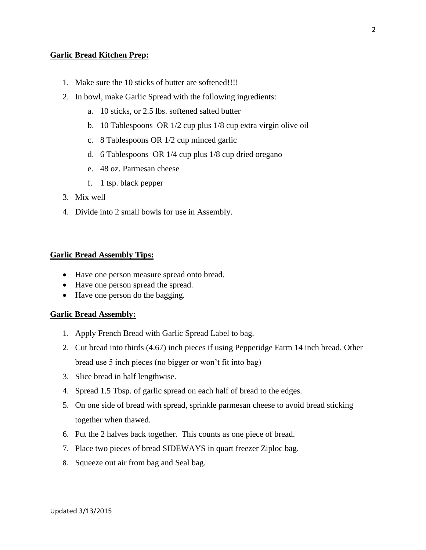#### **Garlic Bread Kitchen Prep:**

- 1. Make sure the 10 sticks of butter are softened!!!!
- 2. In bowl, make Garlic Spread with the following ingredients:
	- a. 10 sticks, or 2.5 lbs. softened salted butter
	- b. 10 Tablespoons OR 1/2 cup plus 1/8 cup extra virgin olive oil
	- c. 8 Tablespoons OR 1/2 cup minced garlic
	- d. 6 Tablespoons OR 1/4 cup plus 1/8 cup dried oregano
	- e. 48 oz. Parmesan cheese
	- f. 1 tsp. black pepper
- 3. Mix well
- 4. Divide into 2 small bowls for use in Assembly.

#### **Garlic Bread Assembly Tips:**

- Have one person measure spread onto bread.
- Have one person spread the spread.
- Have one person do the bagging.

#### **Garlic Bread Assembly:**

- 1. Apply French Bread with Garlic Spread Label to bag.
- 2. Cut bread into thirds (4.67) inch pieces if using Pepperidge Farm 14 inch bread. Other bread use 5 inch pieces (no bigger or won't fit into bag)
- 3. Slice bread in half lengthwise.
- 4. Spread 1.5 Tbsp. of garlic spread on each half of bread to the edges.
- 5. On one side of bread with spread, sprinkle parmesan cheese to avoid bread sticking together when thawed.
- 6. Put the 2 halves back together. This counts as one piece of bread.
- 7. Place two pieces of bread SIDEWAYS in quart freezer Ziploc bag.
- 8. Squeeze out air from bag and Seal bag.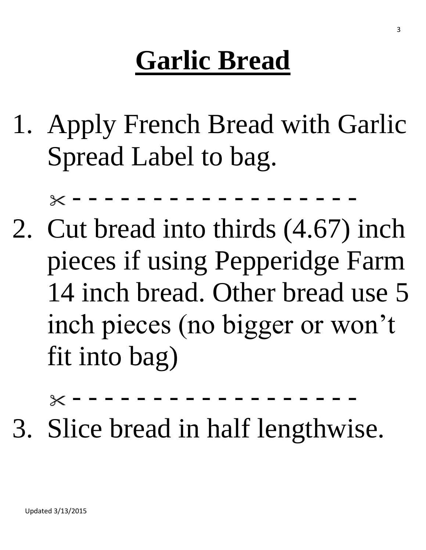# **Garlic Bread**

1. Apply French Bread with Garlic Spread Label to bag.

- - - - - - - - - - - - - - - - - -

2. Cut bread into thirds (4.67) inch pieces if using Pepperidge Farm 14 inch bread. Other bread use 5 inch pieces (no bigger or won't fit into bag)

- - - - - - - - - - - - - - - - - -

3. Slice bread in half lengthwise.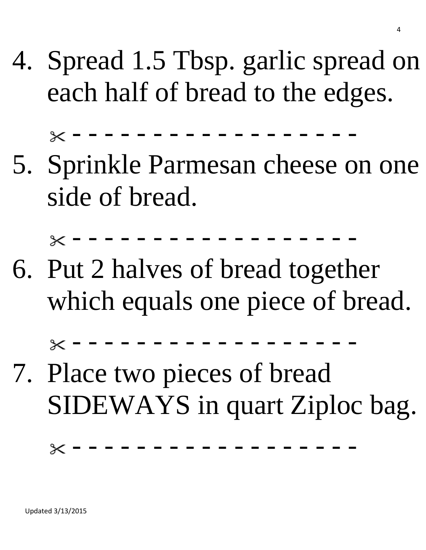4. Spread 1.5 Tbsp. garlic spread on each half of bread to the edges.

- - - - - - - - - - - - - - - - - -

5. Sprinkle Parmesan cheese on one side of bread.

- - - - - - - - - - - - - - - - - -

6. Put 2 halves of bread together which equals one piece of bread.

- - - - - - - - - - - - - - - - - -

7. Place two pieces of bread SIDEWAYS in quart Ziploc bag.

 $\times$  - - - - - - - - - - - - - -